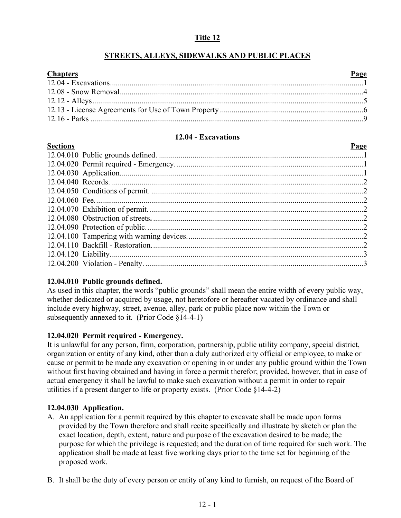# **Title 12**

# **STREETS, ALLEYS, SIDEWALKS AND PUBLIC PLACES**

| <b>Chapters</b> | Page |
|-----------------|------|
|                 |      |
|                 |      |
|                 |      |
|                 |      |
|                 |      |

# **12.04 - Excavations**

<span id="page-0-0"></span>

| <b>Sections</b> | <b>Page</b> |
|-----------------|-------------|
|                 |             |
|                 |             |
|                 |             |
|                 |             |
|                 |             |
|                 |             |
|                 |             |
|                 |             |
|                 |             |
|                 |             |
|                 |             |
|                 |             |
|                 |             |

# **12.04.010 Public grounds defined.**

As used in this chapter, the words "public grounds" shall mean the entire width of every public way, whether dedicated or acquired by usage, not heretofore or hereafter vacated by ordinance and shall include every highway, street, avenue, alley, park or public place now within the Town or subsequently annexed to it. (Prior Code §14-4-1)

# **12.04.020 Permit required - Emergency.**

It is unlawful for any person, firm, corporation, partnership, public utility company, special district, organization or entity of any kind, other than a duly authorized city official or employee, to make or cause or permit to be made any excavation or opening in or under any public ground within the Town without first having obtained and having in force a permit therefor; provided, however, that in case of actual emergency it shall be lawful to make such excavation without a permit in order to repair utilities if a present danger to life or property exists. (Prior Code §14-4-2)

# **12.04.030 Application.**

- A. An application for a permit required by this chapter to excavate shall be made upon forms provided by the Town therefore and shall recite specifically and illustrate by sketch or plan the exact location, depth, extent, nature and purpose of the excavation desired to be made; the purpose for which the privilege is requested; and the duration of time required for such work. The application shall be made at least five working days prior to the time set for beginning of the proposed work.
- B. It shall be the duty of every person or entity of any kind to furnish, on request of the Board of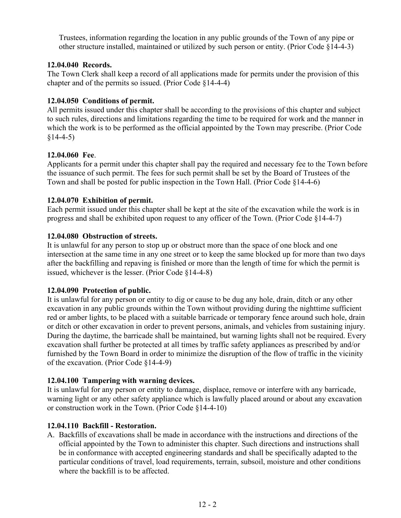Trustees, information regarding the location in any public grounds of the Town of any pipe or other structure installed, maintained or utilized by such person or entity. (Prior Code §14-4-3)

# **12.04.040 Records.**

The Town Clerk shall keep a record of all applications made for permits under the provision of this chapter and of the permits so issued. (Prior Code §14-4-4)

# **12.04.050 Conditions of permit.**

All permits issued under this chapter shall be according to the provisions of this chapter and subject to such rules, directions and limitations regarding the time to be required for work and the manner in which the work is to be performed as the official appointed by the Town may prescribe. (Prior Code  $$14-4-5)$ 

# **12.04.060 Fee**.

Applicants for a permit under this chapter shall pay the required and necessary fee to the Town before the issuance of such permit. The fees for such permit shall be set by the Board of Trustees of the Town and shall be posted for public inspection in the Town Hall. (Prior Code §14-4-6)

# **12.04.070 Exhibition of permit.**

Each permit issued under this chapter shall be kept at the site of the excavation while the work is in progress and shall be exhibited upon request to any officer of the Town. (Prior Code §14-4-7)

# **12.04.080 Obstruction of streets.**

It is unlawful for any person to stop up or obstruct more than the space of one block and one intersection at the same time in any one street or to keep the same blocked up for more than two days after the backfilling and repaving is finished or more than the length of time for which the permit is issued, whichever is the lesser. (Prior Code §14-4-8)

# **12.04.090 Protection of public.**

It is unlawful for any person or entity to dig or cause to be dug any hole, drain, ditch or any other excavation in any public grounds within the Town without providing during the nighttime sufficient red or amber lights, to be placed with a suitable barricade or temporary fence around such hole, drain or ditch or other excavation in order to prevent persons, animals, and vehicles from sustaining injury. During the daytime, the barricade shall be maintained, but warning lights shall not be required. Every excavation shall further be protected at all times by traffic safety appliances as prescribed by and/or furnished by the Town Board in order to minimize the disruption of the flow of traffic in the vicinity of the excavation. (Prior Code §14-4-9)

# **12.04.100 Tampering with warning devices.**

It is unlawful for any person or entity to damage, displace, remove or interfere with any barricade, warning light or any other safety appliance which is lawfully placed around or about any excavation or construction work in the Town. (Prior Code §14-4-10)

# **12.04.110 Backfill - Restoration.**

A. Backfills of excavations shall be made in accordance with the instructions and directions of the official appointed by the Town to administer this chapter. Such directions and instructions shall be in conformance with accepted engineering standards and shall be specifically adapted to the particular conditions of travel, load requirements, terrain, subsoil, moisture and other conditions where the backfill is to be affected.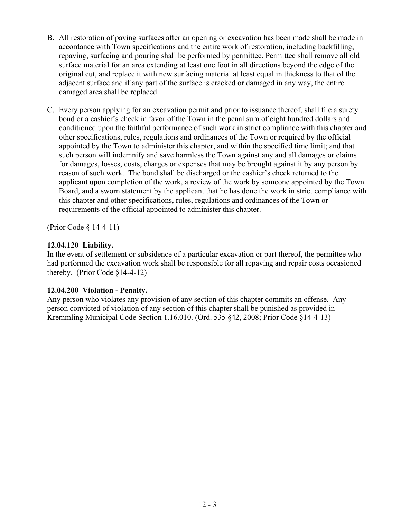- B. All restoration of paving surfaces after an opening or excavation has been made shall be made in accordance with Town specifications and the entire work of restoration, including backfilling, repaving, surfacing and pouring shall be performed by permittee. Permittee shall remove all old surface material for an area extending at least one foot in all directions beyond the edge of the original cut, and replace it with new surfacing material at least equal in thickness to that of the adjacent surface and if any part of the surface is cracked or damaged in any way, the entire damaged area shall be replaced.
- C. Every person applying for an excavation permit and prior to issuance thereof, shall file a surety bond or a cashier's check in favor of the Town in the penal sum of eight hundred dollars and conditioned upon the faithful performance of such work in strict compliance with this chapter and other specifications, rules, regulations and ordinances of the Town or required by the official appointed by the Town to administer this chapter, and within the specified time limit; and that such person will indemnify and save harmless the Town against any and all damages or claims for damages, losses, costs, charges or expenses that may be brought against it by any person by reason of such work. The bond shall be discharged or the cashier's check returned to the applicant upon completion of the work, a review of the work by someone appointed by the Town Board, and a sworn statement by the applicant that he has done the work in strict compliance with this chapter and other specifications, rules, regulations and ordinances of the Town or requirements of the official appointed to administer this chapter.

(Prior Code § 14-4-11)

# **12.04.120 Liability.**

In the event of settlement or subsidence of a particular excavation or part thereof, the permittee who had performed the excavation work shall be responsible for all repaving and repair costs occasioned thereby. (Prior Code §14-4-12)

#### **12.04.200 Violation - Penalty.**

Any person who violates any provision of any section of this chapter commits an offense. Any person convicted of violation of any section of this chapter shall be punished as provided in Kremmling Municipal Code Section 1.16.010. (Ord. 535 §42, 2008; Prior Code §14-4-13)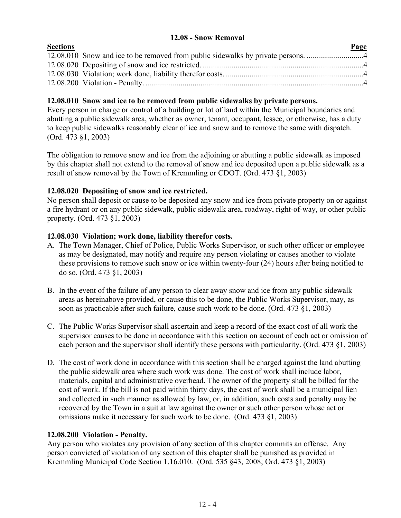### **12.08 - Snow Removal**

<span id="page-3-0"></span>

| <b>Sections</b> |                                                                                  | Page |
|-----------------|----------------------------------------------------------------------------------|------|
|                 | 12.08.010 Snow and ice to be removed from public sidewalks by private persons. 4 |      |
|                 |                                                                                  |      |
|                 |                                                                                  |      |
|                 |                                                                                  |      |
|                 |                                                                                  |      |

# **12.08.010 Snow and ice to be removed from public sidewalks by private persons.**

Every person in charge or control of a building or lot of land within the Municipal boundaries and abutting a public sidewalk area, whether as owner, tenant, occupant, lessee, or otherwise, has a duty to keep public sidewalks reasonably clear of ice and snow and to remove the same with dispatch. (Ord. 473 §1, 2003)

The obligation to remove snow and ice from the adjoining or abutting a public sidewalk as imposed by this chapter shall not extend to the removal of snow and ice deposited upon a public sidewalk as a result of snow removal by the Town of Kremmling or CDOT. (Ord. 473 §1, 2003)

### **12.08.020 Depositing of snow and ice restricted.**

No person shall deposit or cause to be deposited any snow and ice from private property on or against a fire hydrant or on any public sidewalk, public sidewalk area, roadway, right-of-way, or other public property. (Ord. 473 §1, 2003)

### **12.08.030 Violation; work done, liability therefor costs.**

- A. The Town Manager, Chief of Police, Public Works Supervisor, or such other officer or employee as may be designated, may notify and require any person violating or causes another to violate these provisions to remove such snow or ice within twenty-four (24) hours after being notified to do so. (Ord. 473 §1, 2003)
- B. In the event of the failure of any person to clear away snow and ice from any public sidewalk areas as hereinabove provided, or cause this to be done, the Public Works Supervisor, may, as soon as practicable after such failure, cause such work to be done. (Ord. 473 §1, 2003)
- C. The Public Works Supervisor shall ascertain and keep a record of the exact cost of all work the supervisor causes to be done in accordance with this section on account of each act or omission of each person and the supervisor shall identify these persons with particularity. (Ord. 473 §1, 2003)
- D. The cost of work done in accordance with this section shall be charged against the land abutting the public sidewalk area where such work was done. The cost of work shall include labor, materials, capital and administrative overhead. The owner of the property shall be billed for the cost of work. If the bill is not paid within thirty days, the cost of work shall be a municipal lien and collected in such manner as allowed by law, or, in addition, such costs and penalty may be recovered by the Town in a suit at law against the owner or such other person whose act or omissions make it necessary for such work to be done. (Ord. 473 §1, 2003)

#### **12.08.200 Violation - Penalty.**

Any person who violates any provision of any section of this chapter commits an offense. Any person convicted of violation of any section of this chapter shall be punished as provided in Kremmling Municipal Code Section 1.16.010. (Ord. 535 §43, 2008; Ord. 473 §1, 2003)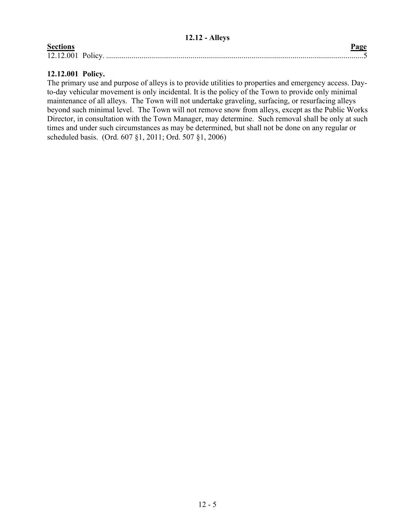<span id="page-4-0"></span>

| <b>Sections</b>   |  |
|-------------------|--|
| 12.12.001 Policy. |  |

# **12.12.001 Policy.**

The primary use and purpose of alleys is to provide utilities to properties and emergency access. Dayto-day vehicular movement is only incidental. It is the policy of the Town to provide only minimal maintenance of all alleys. The Town will not undertake graveling, surfacing, or resurfacing alleys beyond such minimal level. The Town will not remove snow from alleys, except as the Public Works Director, in consultation with the Town Manager, may determine. Such removal shall be only at such times and under such circumstances as may be determined, but shall not be done on any regular or scheduled basis. (Ord. 607 §1, 2011; Ord. 507 §1, 2006)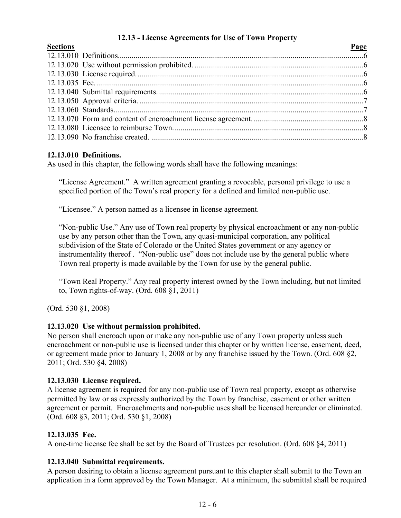# **12.13 - License Agreements for Use of Town Property**

<span id="page-5-0"></span>

| <b>Sections</b> | Page |
|-----------------|------|
|                 |      |
|                 |      |
|                 |      |
|                 |      |
|                 |      |
|                 |      |
|                 |      |
|                 |      |
|                 |      |
|                 |      |

# **12.13.010 Definitions.**

As used in this chapter, the following words shall have the following meanings:

"License Agreement." A written agreement granting a revocable, personal privilege to use a specified portion of the Town's real property for a defined and limited non-public use.

"Licensee." A person named as a licensee in license agreement.

"Non-public Use." Any use of Town real property by physical encroachment or any non-public use by any person other than the Town, any quasi-municipal corporation, any political subdivision of the State of Colorado or the United States government or any agency or instrumentality thereof . "Non-public use" does not include use by the general public where Town real property is made available by the Town for use by the general public.

"Town Real Property." Any real property interest owned by the Town including, but not limited to, Town rights-of-way. (Ord. 608 §1, 2011)

(Ord. 530 §1, 2008)

# **12.13.020 Use without permission prohibited.**

No person shall encroach upon or make any non-public use of any Town property unless such encroachment or non-public use is licensed under this chapter or by written license, easement, deed, or agreement made prior to January 1, 2008 or by any franchise issued by the Town. (Ord. 608 §2, 2011; Ord. 530 §4, 2008)

# **12.13.030 License required.**

A license agreement is required for any non-public use of Town real property, except as otherwise permitted by law or as expressly authorized by the Town by franchise, easement or other written agreement or permit. Encroachments and non-public uses shall be licensed hereunder or eliminated. (Ord. 608 §3, 2011; Ord. 530 §1, 2008)

# **12.13.035 Fee.**

A one-time license fee shall be set by the Board of Trustees per resolution. (Ord. 608 §4, 2011)

# **12.13.040 Submittal requirements.**

A person desiring to obtain a license agreement pursuant to this chapter shall submit to the Town an application in a form approved by the Town Manager. At a minimum, the submittal shall be required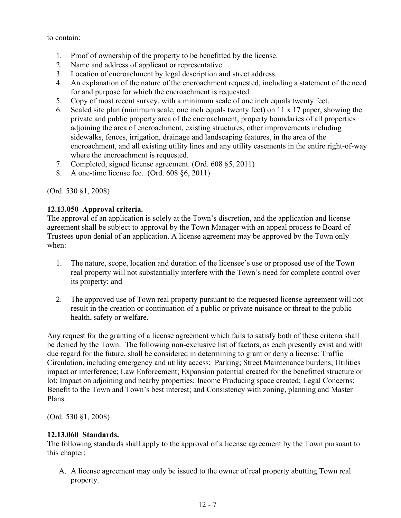to contain:

- 1. Proof of ownership of the property to be benefitted by the license.
- 2. Name and address of applicant or representative.
- 3. Location of encroachment by legal description and street address.
- 4. An explanation of the nature of the encroachment requested, including a statement of the need for and purpose for which the encroachment is requested.
- 5. Copy of most recent survey, with a minimum scale of one inch equals twenty feet.
- 6. Scaled site plan (minimum scale, one inch equals twenty feet) on 11 x 17 paper, showing the private and public property area of the encroachment, property boundaries of all properties adjoining the area of encroachment, existing structures, other improvements including sidewalks, fences, irrigation, drainage and landscaping features, in the area of the encroachment, and all existing utility lines and any utility easements in the entire right-of-way where the encroachment is requested.
- 7. Completed, signed license agreement. (Ord. 608 §5, 2011)
- 8. A one-time license fee. (Ord. 608 §6, 2011)

(Ord. 530 §1, 2008)

# **12.13.050 Approval criteria.**

The approval of an application is solely at the Town's discretion, and the application and license agreement shall be subject to approval by the Town Manager with an appeal process to Board of Trustees upon denial of an application. A license agreement may be approved by the Town only when:

- 1. The nature, scope, location and duration of the licensee's use or proposed use of the Town real property will not substantially interfere with the Town's need for complete control over its property; and
- 2. The approved use of Town real property pursuant to the requested license agreement will not result in the creation or continuation of a public or private nuisance or threat to the public health, safety or welfare.

Any request for the granting of a license agreement which fails to satisfy both of these criteria shall be denied by the Town. The following non-exclusive list of factors, as each presently exist and with due regard for the future, shall be considered in determining to grant or deny a license: Traffic Circulation, including emergency and utility access; Parking; Street Maintenance burdens; Utilities impact or interference; Law Enforcement; Expansion potential created for the benefitted structure or lot; Impact on adjoining and nearby properties; Income Producing space created; Legal Concerns; Benefit to the Town and Town's best interest; and Consistency with zoning, planning and Master Plans.

(Ord. 530 §1, 2008)

# **12.13.060 Standards.**

The following standards shall apply to the approval of a license agreement by the Town pursuant to this chapter:

A. A license agreement may only be issued to the owner of real property abutting Town real property.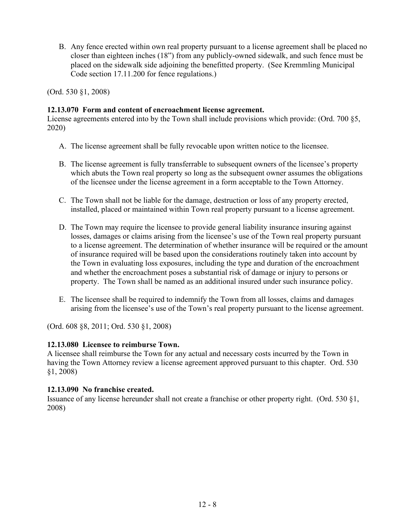B. Any fence erected within own real property pursuant to a license agreement shall be placed no closer than eighteen inches (18") from any publicly-owned sidewalk, and such fence must be placed on the sidewalk side adjoining the benefitted property. (See Kremmling Municipal Code section 17.11.200 for fence regulations.)

(Ord. 530 §1, 2008)

### **12.13.070 Form and content of encroachment license agreement.**

License agreements entered into by the Town shall include provisions which provide: (Ord. 700 §5, 2020)

- A. The license agreement shall be fully revocable upon written notice to the licensee.
- B. The license agreement is fully transferrable to subsequent owners of the licensee's property which abuts the Town real property so long as the subsequent owner assumes the obligations of the licensee under the license agreement in a form acceptable to the Town Attorney.
- C. The Town shall not be liable for the damage, destruction or loss of any property erected, installed, placed or maintained within Town real property pursuant to a license agreement.
- D. The Town may require the licensee to provide general liability insurance insuring against losses, damages or claims arising from the licensee's use of the Town real property pursuant to a license agreement. The determination of whether insurance will be required or the amount of insurance required will be based upon the considerations routinely taken into account by the Town in evaluating loss exposures, including the type and duration of the encroachment and whether the encroachment poses a substantial risk of damage or injury to persons or property. The Town shall be named as an additional insured under such insurance policy.
- E. The licensee shall be required to indemnify the Town from all losses, claims and damages arising from the licensee's use of the Town's real property pursuant to the license agreement.

(Ord. 608 §8, 2011; Ord. 530 §1, 2008)

#### **12.13.080 Licensee to reimburse Town.**

A licensee shall reimburse the Town for any actual and necessary costs incurred by the Town in having the Town Attorney review a license agreement approved pursuant to this chapter. Ord. 530 §1, 2008)

#### **12.13.090 No franchise created.**

Issuance of any license hereunder shall not create a franchise or other property right. (Ord. 530 §1, 2008)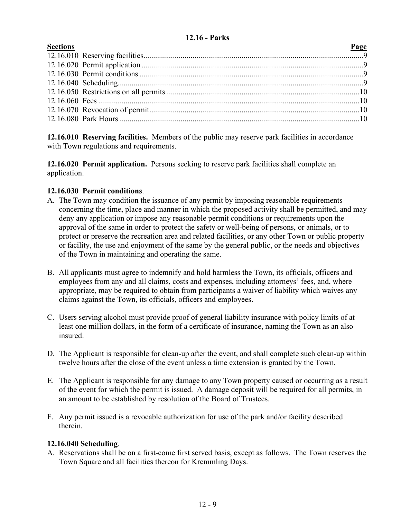# **12.16 - Parks**

<span id="page-8-0"></span>

| <b>Sections</b> | <u>Page</u> |  |
|-----------------|-------------|--|
|                 |             |  |
|                 |             |  |
|                 |             |  |
|                 |             |  |
|                 |             |  |
|                 |             |  |
|                 |             |  |
|                 |             |  |
|                 |             |  |

**12.16.010 Reserving facilities.** Members of the public may reserve park facilities in accordance with Town regulations and requirements.

**12.16.020 Permit application.** Persons seeking to reserve park facilities shall complete an application.

# **12.16.030 Permit conditions**.

- A. The Town may condition the issuance of any permit by imposing reasonable requirements concerning the time, place and manner in which the proposed activity shall be permitted, and may deny any application or impose any reasonable permit conditions or requirements upon the approval of the same in order to protect the safety or well-being of persons, or animals, or to protect or preserve the recreation area and related facilities, or any other Town or public property or facility, the use and enjoyment of the same by the general public, or the needs and objectives of the Town in maintaining and operating the same.
- B. All applicants must agree to indemnify and hold harmless the Town, its officials, officers and employees from any and all claims, costs and expenses, including attorneys' fees, and, where appropriate, may be required to obtain from participants a waiver of liability which waives any claims against the Town, its officials, officers and employees.
- C. Users serving alcohol must provide proof of general liability insurance with policy limits of at least one million dollars, in the form of a certificate of insurance, naming the Town as an also insured.
- D. The Applicant is responsible for clean-up after the event, and shall complete such clean-up within twelve hours after the close of the event unless a time extension is granted by the Town.
- E. The Applicant is responsible for any damage to any Town property caused or occurring as a result of the event for which the permit is issued. A damage deposit will be required for all permits, in an amount to be established by resolution of the Board of Trustees.
- F. Any permit issued is a revocable authorization for use of the park and/or facility described therein.

# **12.16.040 Scheduling**.

A. Reservations shall be on a first-come first served basis, except as follows. The Town reserves the Town Square and all facilities thereon for Kremmling Days.